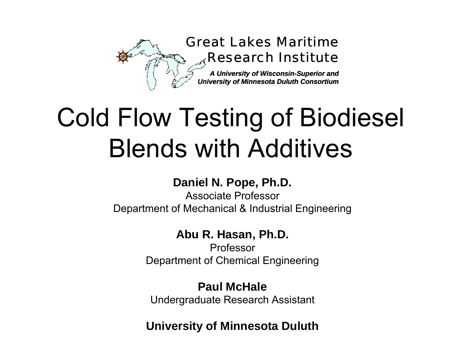

# Cold Flow Testing of Biodiesel<br>Blends with Additives

#### **Daniel N. Pope, Ph.D.**

Associate ProfessorDepartment of Mechanical & Industrial Engineering

#### **Abu R. Hasan, Ph.D.**

ProfessorDepartment of Chemical Engineering

#### **Paul McHale**

Undergraduate Research Assistant

**University of Minnesota Duluth**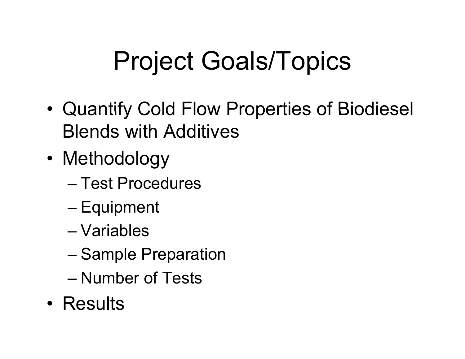# Project Goals/Topics

- • Quantify Cold Flow Properties of Biodiesel Blends with Additives
- Methodology
	- Test Procedures
	- Equipment
	- Variables
	- Sample Preparation
	- Number of Tests
- Results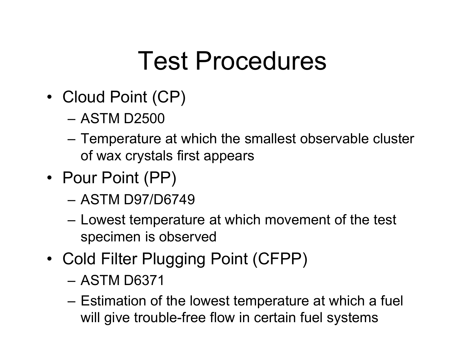# Test Procedures

- Cloud Point (CP)
	- ASTM D2500
	- Temperature at which the smallest observable cluster of wax crystals first appears
- Pour Point (PP)
	- ASTM D97/D6749
	- – Lowest temperature at which movement of the test specimen is observed
- Cold Filter Plugging Point (CFPP)
	- ASTM D6371
	- Estimation of the lowest temperature at which a fuel will give trouble-free flow in certain fuel systems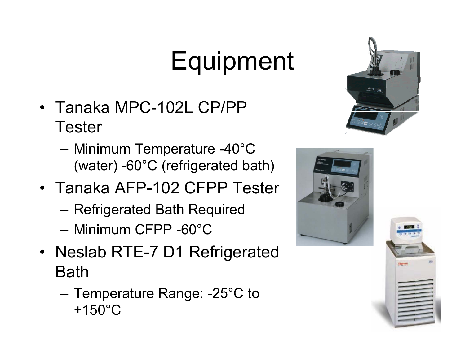# Equipment

- Tanaka MPC-102L CP/PP Tester
	- Minimum Temperature -40°C (water) -60°C (refrigerated bath)
- Tanaka AFP-102 CFPP Tester
	- Refrigerated Bath Required
	- Minimum CFPP -60°C
- Neslab RTE-7 D1 Refrigerated Bath
	- $-$  Temperature Range: -25°C to +150°C





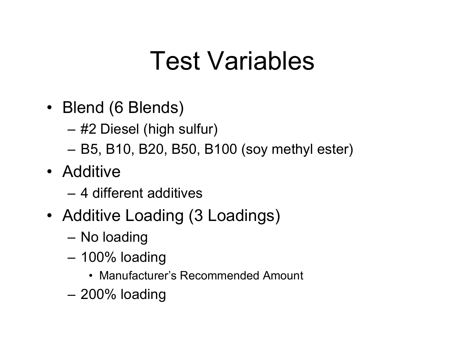# Test Variables

- Blend (6 Blends)
	- #2 Diesel (high sulfur)
	- B5, B10, B20, B50, B100 (soy methyl ester)
- Additive
	- 4 different additives
- Additive Loading (3 Loadings)
	- No loading
	- 100% loading
		- Manufacturer's Recommended Amount
	- –200% loading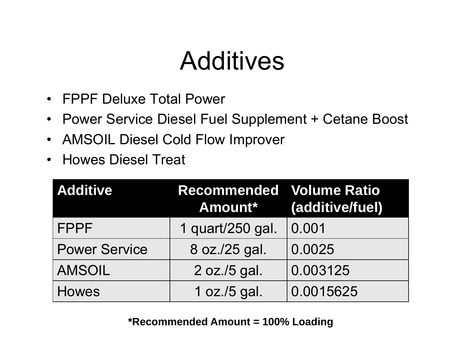# **Additives**

- FPPF Deluxe Total Power
- Power Service Diesel Fuel Supplement + Cetane Boost
- AMSOIL Diesel Cold Flow Improver
- Howes Diesel Treat

| <b>Additive</b>      | <b>Recommended Volume Ratio</b><br>Amount* | (additive/fuel) |  |  |
|----------------------|--------------------------------------------|-----------------|--|--|
| <b>FPPF</b>          | 1 quart/250 gal.                           | 0.001           |  |  |
| <b>Power Service</b> | 8 oz./25 gal.                              | 0.0025          |  |  |
| <b>AMSOIL</b>        | 2 oz./5 gal.                               | 0.003125        |  |  |
| <b>Howes</b>         | 1 oz./5 gal.                               | 0.0015625       |  |  |

**\*Recommended Amount = 100% Loading**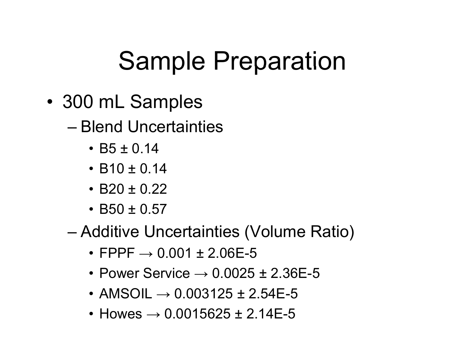# Sample Preparation

- 300 mL Sam ples
	- Blend Uncertainties
		- B5 ± 0.14
		- B10 ± 0.14
		- B20 ± 0.22
		- B50 ± 0.57
	- Additive Uncertainties (Volume Ratio)
		- FPPF  $\rightarrow$  0.001 ± 2.06E-5
		- Power Service  $\rightarrow$  0.0025 ± 2.36E-5
		- $\bullet$  AMSOIL  $\rightarrow$  0.003125 ± 2.54E-5
		- Howes  $\rightarrow$  0.0015625 ± 2.14E-5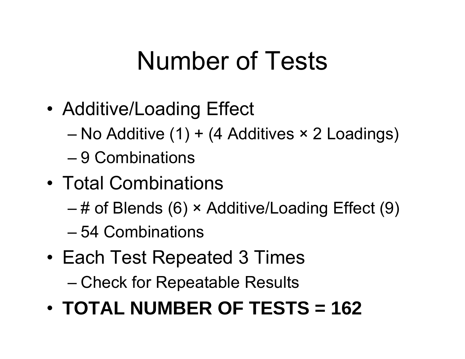# Number of Tests

- • Additive/Loading Effect
	- No Additive (1) + (4 Additives × 2 Loadings)
	- 9 Combinations
- Total Combinations
	- # of Blends (6) × Additive/Loading Effect (9)
	- 54 Combinations
- Each Test Repeated 3 Times
	- Check for Repeatable Results
- **TOTAL NUMBER OF TESTS = 162**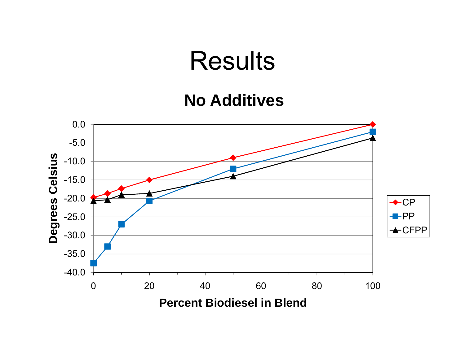#### **No Additives**

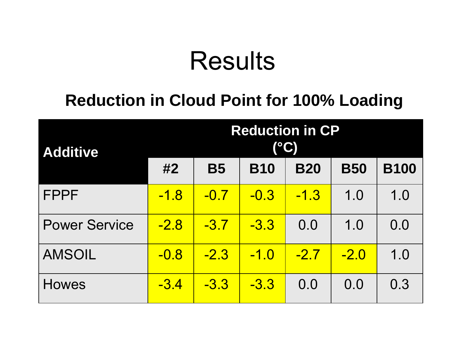#### **Reduction in Cloud Point for 100% Loading**

| <b>Additive</b>      | <b>Reduction in CP</b><br><b>(°C)</b> |           |            |            |            |             |
|----------------------|---------------------------------------|-----------|------------|------------|------------|-------------|
|                      | #2                                    | <b>B5</b> | <b>B10</b> | <b>B20</b> | <b>B50</b> | <b>B100</b> |
| <b>FPPF</b>          | <u>-1.8</u>                           | $-0.7$    | $-0.3$     | $-1.3$     | 1.0        | 1.0         |
| <b>Power Service</b> | $-2.8$                                | $-3.7$    | $-3.3$     | 0.0        | 1.0        | 0.0         |
| <b>AMSOIL</b>        | $-0.8$                                | $-2.3$    | $-1.0$     | $-2.7$     | $-2.0$     | 1.0         |
| <b>Howes</b>         | $-3.4$                                | $-3.3$    | $-3.3$     | 0.0        | 0.0        | 0.3         |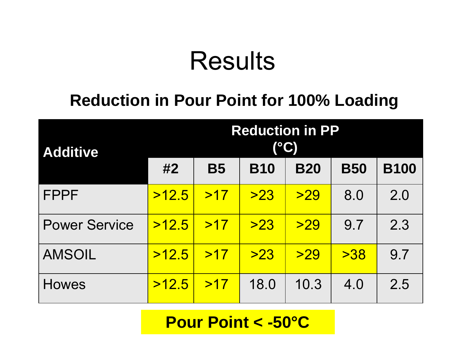#### **Reduction in Pour Point for 100% Loading**

| <b>Additive</b>      | <b>Reduction in PP</b> |           |            |            |            |             |
|----------------------|------------------------|-----------|------------|------------|------------|-------------|
|                      | #2                     | <b>B5</b> | <b>B10</b> | <b>B20</b> | <b>B50</b> | <b>B100</b> |
| <b>FPPF</b>          | >12.5                  | >17       | >23        | >29        | 8.0        | 2.0         |
| <b>Power Service</b> | >12.5                  | >17       | >23        | >29        | 9.7        | 2.3         |
| <b>AMSOIL</b>        | >12.5                  | >17       | >23        | >29        | >38        | 9.7         |
| <b>Howes</b>         | >12.5                  | >17       | 18.0       | 10.3       | 4.0        | 2.5         |

#### **Pour Point < -50°C**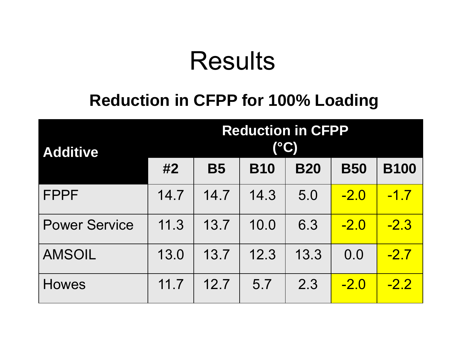#### **Reduction in CFPP for 100% Loading**

| <b>Additive</b>      | <b>Reduction in CFPP</b><br>(°C) |           |            |            |            |             |
|----------------------|----------------------------------|-----------|------------|------------|------------|-------------|
|                      | #2                               | <b>B5</b> | <b>B10</b> | <b>B20</b> | <b>B50</b> | <b>B100</b> |
| <b>FPPF</b>          | 14.7                             | 14.7      | 14.3       | 5.0        | $-2.0$     | $-1.7$      |
| <b>Power Service</b> | 11.3                             | 13.7      | 10.0       | 6.3        | $-2.0$     | $-2.3$      |
| <b>AMSOIL</b>        | 13.0                             | 13.7      | 12.3       | 13.3       | 0.0        | $-2.7$      |
| <b>Howes</b>         | 11.7                             | 12.7      | 5.7        | 2.3        | $-2.0$     | $-2.2$      |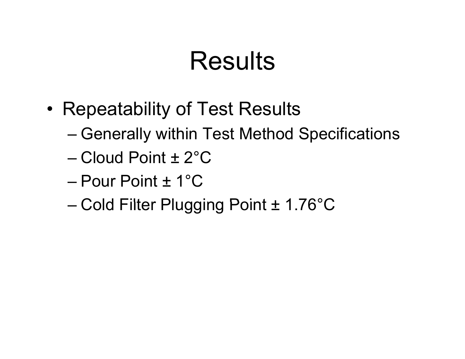- • Repeatability of Test Results
	- Generally within Test Method Specifications
	- Cloud Point ± 2°C
	- Pour Point ± 1°C
	- $-$  Cold Filter Plugging Point  $\pm$  1.76°C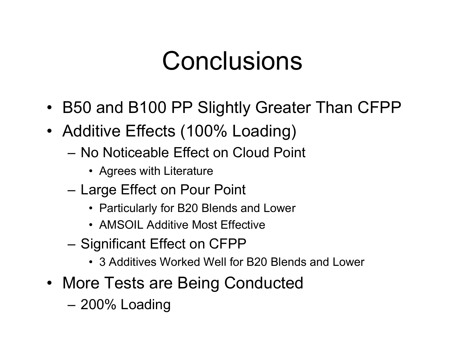## **Conclusions**

- B50 and B100 PP Slightly Greater Than CFPP
- Additive Effects (100% Loading)
	- No Noticeable Effect on Cloud Point
		- Agrees with Literature
	- Large Effect on Pour Point
		- Particularly for B20 Blends and Lower
		- AMSOIL Additive Most Effective
	- Significant Effect on CFPP
		- 3 Additives Worked Well for B20 Blends and Lower
- More Tests are Being Conducted
	- –200% Loading